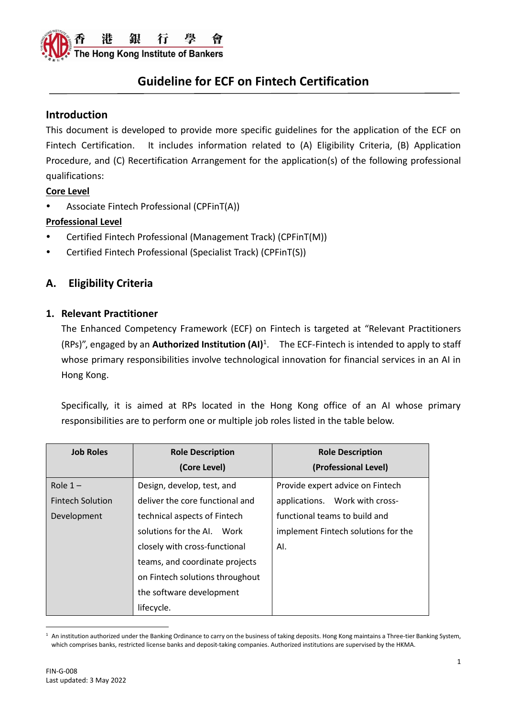

### **Introduction**

This document is developed to provide more specific guidelines for the application of the ECF on Fintech Certification. It includes information related to (A) Eligibility Criteria, (B) Application Procedure, and (C) Recertification Arrangement for the application(s) of the following professional qualifications:

#### **Core Level**

Associate Fintech Professional (CPFinT(A))

#### **Professional Level**

- Certified Fintech Professional (Management Track) (CPFinT(M))
- Certified Fintech Professional (Specialist Track) (CPFinT(S))

### **A. Eligibility Criteria**

#### **1. Relevant Practitioner**

The Enhanced Competency Framework (ECF) on Fintech is targeted at "Relevant Practitioners (RPs)", engaged by an **Authorized Institution (AI)**<sup>1</sup> . The ECF-Fintech is intended to apply to staff whose primary responsibilities involve technological innovation for financial services in an AI in Hong Kong.

Specifically, it is aimed at RPs located in the Hong Kong office of an AI whose primary responsibilities are to perform one or multiple job roles listed in the table below.

| <b>Job Roles</b>        | <b>Role Description</b>         | <b>Role Description</b>             |
|-------------------------|---------------------------------|-------------------------------------|
|                         | (Core Level)                    | (Professional Level)                |
| Role $1 -$              | Design, develop, test, and      | Provide expert advice on Fintech    |
| <b>Fintech Solution</b> | deliver the core functional and | applications. Work with cross-      |
| Development             | technical aspects of Fintech    | functional teams to build and       |
|                         | solutions for the AI. Work      | implement Fintech solutions for the |
|                         | closely with cross-functional   | AI.                                 |
|                         | teams, and coordinate projects  |                                     |
|                         | on Fintech solutions throughout |                                     |
|                         | the software development        |                                     |
|                         | lifecycle.                      |                                     |

 $1$  An institution authorized under the Banking Ordinance to carry on the business of taking deposits. Hong Kong maintains a Three-tier Banking System, which comprises banks, restricted license banks and deposit-taking companies. Authorized institutions are supervised by the HKMA.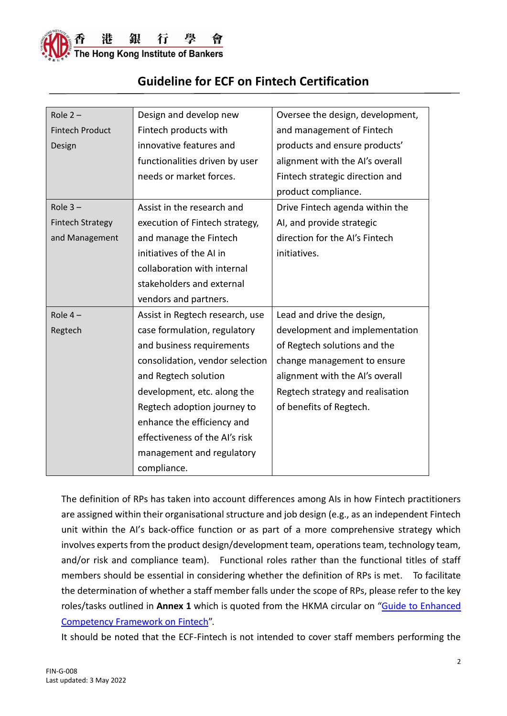

| Role $2 -$              | Design and develop new          | Oversee the design, development, |
|-------------------------|---------------------------------|----------------------------------|
|                         |                                 |                                  |
| <b>Fintech Product</b>  | Fintech products with           | and management of Fintech        |
| Design                  | innovative features and         | products and ensure products'    |
|                         | functionalities driven by user  | alignment with the AI's overall  |
|                         | needs or market forces.         | Fintech strategic direction and  |
|                         |                                 | product compliance.              |
| Role $3 -$              | Assist in the research and      | Drive Fintech agenda within the  |
| <b>Fintech Strategy</b> | execution of Fintech strategy,  | AI, and provide strategic        |
| and Management          | and manage the Fintech          | direction for the AI's Fintech   |
|                         | initiatives of the AI in        | initiatives.                     |
|                         | collaboration with internal     |                                  |
|                         | stakeholders and external       |                                  |
|                         | vendors and partners.           |                                  |
| Role $4-$               | Assist in Regtech research, use | Lead and drive the design,       |
| Regtech                 | case formulation, regulatory    | development and implementation   |
|                         | and business requirements       | of Regtech solutions and the     |
|                         | consolidation, vendor selection | change management to ensure      |
|                         | and Regtech solution            | alignment with the AI's overall  |
|                         | development, etc. along the     | Regtech strategy and realisation |
|                         | Regtech adoption journey to     | of benefits of Regtech.          |
|                         | enhance the efficiency and      |                                  |
|                         | effectiveness of the AI's risk  |                                  |
|                         | management and regulatory       |                                  |
|                         | compliance.                     |                                  |

The definition of RPs has taken into account differences among AIs in how Fintech practitioners are assigned within their organisational structure and job design (e.g., as an independent Fintech unit within the AI's back-office function or as part of a more comprehensive strategy which involves experts from the product design/development team, operations team, technology team, and/or risk and compliance team). Functional roles rather than the functional titles of staff members should be essential in considering whether the definition of RPs is met. To facilitate the determination of whether a staff member falls under the scope of RPs, please refer to the key roles/tasks outlined in **Annex 1** which is quoted from the HKMA circular on "Guide [to Enhanced](https://www.hkma.gov.hk/media/eng/doc/key-information/guidelines-and-circular/2021/20211203e1.pdf)  [Competency Framework](https://www.hkma.gov.hk/media/eng/doc/key-information/guidelines-and-circular/2021/20211203e1.pdf) on Fintech".

It should be noted that the ECF-Fintech is not intended to cover staff members performing the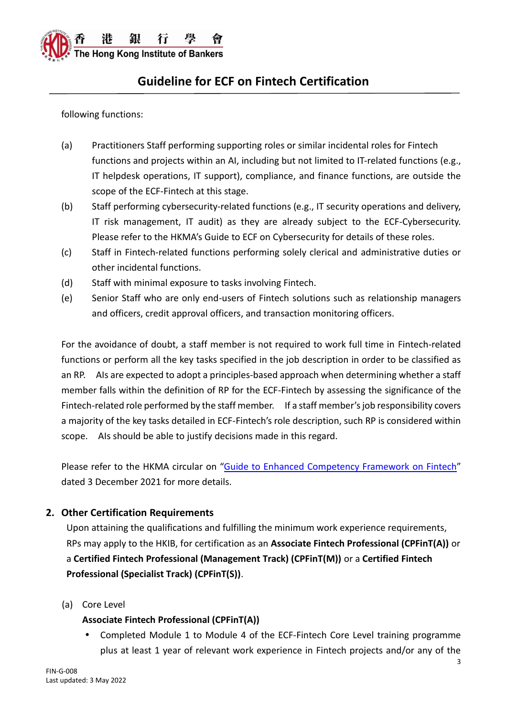

following functions:

- (a) Practitioners Staff performing supporting roles or similar incidental roles for Fintech functions and projects within an AI, including but not limited to IT-related functions (e.g., IT helpdesk operations, IT support), compliance, and finance functions, are outside the scope of the ECF-Fintech at this stage.
- (b) Staff performing cybersecurity-related functions (e.g., IT security operations and delivery, IT risk management, IT audit) as they are already subject to the ECF-Cybersecurity. Please refer to the HKMA's Guide to ECF on Cybersecurity for details of these roles.
- (c) Staff in Fintech-related functions performing solely clerical and administrative duties or other incidental functions.
- (d) Staff with minimal exposure to tasks involving Fintech.
- (e) Senior Staff who are only end-users of Fintech solutions such as relationship managers and officers, credit approval officers, and transaction monitoring officers.

For the avoidance of doubt, a staff member is not required to work full time in Fintech-related functions or perform all the key tasks specified in the job description in order to be classified as an RP. AIs are expected to adopt a principles-based approach when determining whether a staff member falls within the definition of RP for the ECF-Fintech by assessing the significance of the Fintech-related role performed by the staff member. If a staff member's job responsibility covers a majority of the key tasks detailed in ECF-Fintech's role description, such RP is considered within scope. AIs should be able to justify decisions made in this regard.

Please refer to the HKMA circular on "Guide [to Enhanced Competency Framework](https://www.hkma.gov.hk/media/eng/doc/key-information/guidelines-and-circular/2021/20211203e1.pdf) on Fintech" dated 3 December 2021 for more details.

### **2. Other Certification Requirements**

Upon attaining the qualifications and fulfilling the minimum work experience requirements, RPs may apply to the HKIB, for certification as an **Associate Fintech Professional (CPFinT(A))** or a **Certified Fintech Professional (Management Track) (CPFinT(M))** or a **Certified Fintech Professional (Specialist Track) (CPFinT(S))**.

(a) Core Level

#### **Associate Fintech Professional (CPFinT(A))**

 Completed Module 1 to Module 4 of the ECF-Fintech Core Level training programme plus at least 1 year of relevant work experience in Fintech projects and/or any of the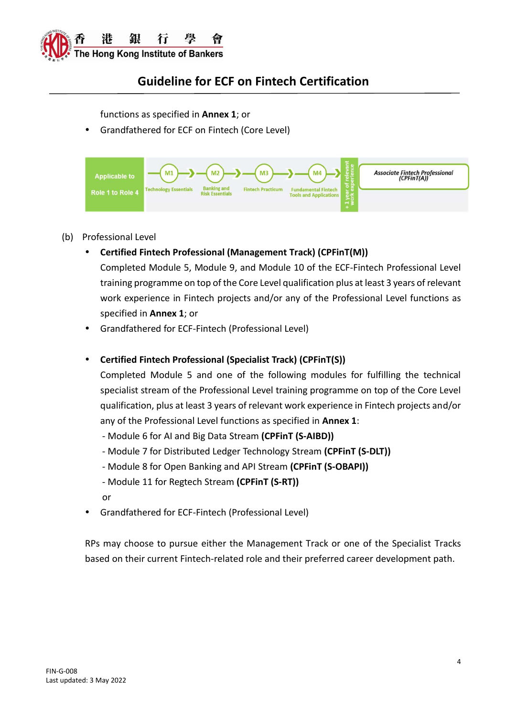

functions as specified in **Annex 1**; or

Grandfathered for ECF on Fintech (Core Level)



#### (b) Professional Level

**Certified Fintech Professional (Management Track) (CPFinT(M))**

Completed Module 5, Module 9, and Module 10 of the ECF-Fintech Professional Level training programme on top of the Core Level qualification plus at least 3 years of relevant work experience in Fintech projects and/or any of the Professional Level functions as specified in **Annex 1**; or

Grandfathered for ECF-Fintech (Professional Level)

#### **Certified Fintech Professional (Specialist Track) (CPFinT(S))**

Completed Module 5 and one of the following modules for fulfilling the technical specialist stream of the Professional Level training programme on top of the Core Level qualification, plus at least 3 years of relevant work experience in Fintech projects and/or any of the Professional Level functions as specified in **Annex 1**:

- Module 6 for AI and Big Data Stream **(CPFinT (S-AIBD))**
- Module 7 for Distributed Ledger Technology Stream **(CPFinT (S-DLT))**
- Module 8 for Open Banking and API Stream **(CPFinT (S-OBAPI))**
- Module 11 for Regtech Stream **(CPFinT (S-RT))**
- or
- Grandfathered for ECF-Fintech (Professional Level)

RPs may choose to pursue either the Management Track or one of the Specialist Tracks based on their current Fintech-related role and their preferred career development path.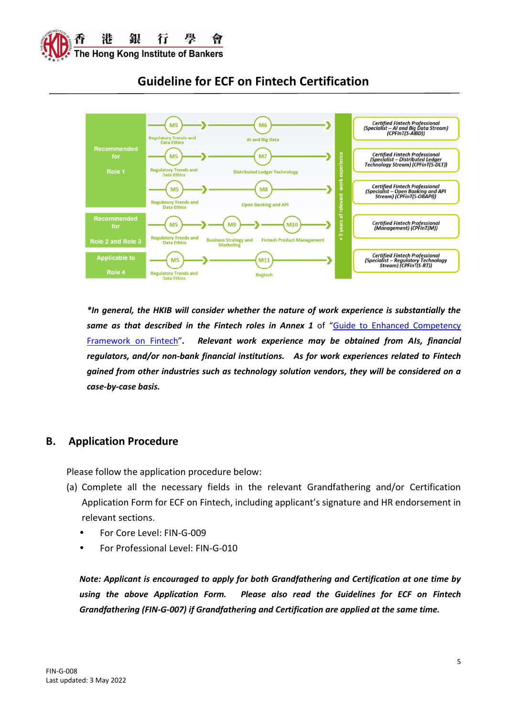



*\*In general, the HKIB will consider whether the nature of work experience is substantially the*  same as that described in the Fintech roles in Annex 1 of "Guide to Enhanced Competency [Framework on Fintech](https://www.hkma.gov.hk/media/eng/doc/key-information/guidelines-and-circular/2021/20211203e1.pdf)"*. Relevant work experience may be obtained from AIs, financial regulators, and/or non-bank financial institutions. As for work experiences related to Fintech gained from other industries such as technology solution vendors, they will be considered on a case-by-case basis.* 

### **B. Application Procedure**

Please follow the application procedure below:

- (a) Complete all the necessary fields in the relevant Grandfathering and/or Certification Application Form for ECF on Fintech, including applicant's signature and HR endorsement in relevant sections.
	- For Core Level: FIN-G-009
	- For Professional Level: FIN-G-010

*Note: Applicant is encouraged to apply for both Grandfathering and Certification at one time by using the above Application Form. Please also read the Guidelines for ECF on Fintech Grandfathering (FIN-G-007) if Grandfathering and Certification are applied at the same time.*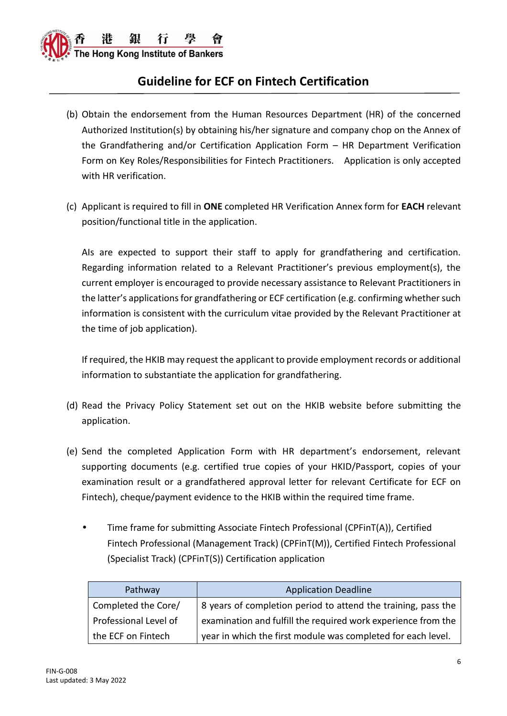

- (b) Obtain the endorsement from the Human Resources Department (HR) of the concerned Authorized Institution(s) by obtaining his/her signature and company chop on the Annex of the Grandfathering and/or Certification Application Form – HR Department Verification Form on Key Roles/Responsibilities for Fintech Practitioners. Application is only accepted with HR verification.
- (c) Applicant is required to fill in **ONE** completed HR Verification Annex form for **EACH** relevant position/functional title in the application.

AIs are expected to support their staff to apply for grandfathering and certification. Regarding information related to a Relevant Practitioner's previous employment(s), the current employer is encouraged to provide necessary assistance to Relevant Practitioners in the latter's applications for grandfathering or ECF certification (e.g. confirming whether such information is consistent with the curriculum vitae provided by the Relevant Practitioner at the time of job application).

If required, the HKIB may request the applicant to provide employment records or additional information to substantiate the application for grandfathering.

- (d) Read the Privacy Policy Statement set out on the HKIB website before submitting the application.
- (e) Send the completed Application Form with HR department's endorsement, relevant supporting documents (e.g. certified true copies of your HKID/Passport, copies of your examination result or a grandfathered approval letter for relevant Certificate for ECF on Fintech), cheque/payment evidence to the HKIB within the required time frame.
	- Time frame for submitting Associate Fintech Professional (CPFinT(A)), Certified Fintech Professional (Management Track) (CPFinT(M)), Certified Fintech Professional (Specialist Track) (CPFinT(S)) Certification application

| Pathway               | <b>Application Deadline</b>                                   |
|-----------------------|---------------------------------------------------------------|
| Completed the Core/   | 8 years of completion period to attend the training, pass the |
| Professional Level of | examination and fulfill the required work experience from the |
| the ECF on Fintech    | year in which the first module was completed for each level.  |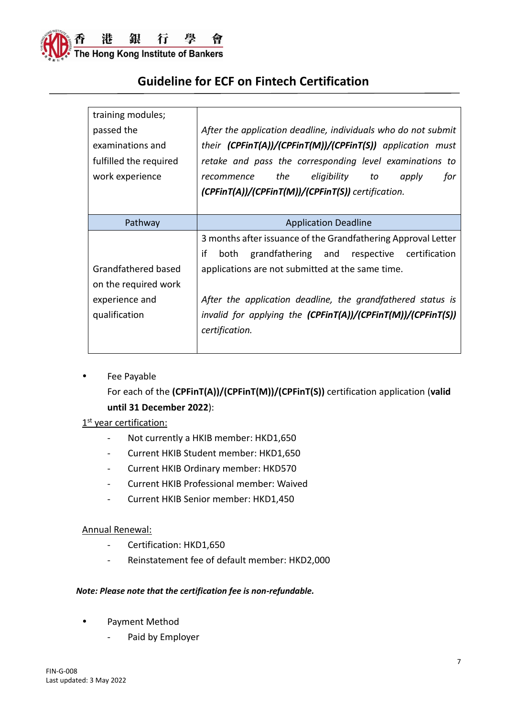

| training modules;      |                                                               |
|------------------------|---------------------------------------------------------------|
| passed the             | After the application deadline, individuals who do not submit |
| examinations and       | their $(CPFinT(A))/(CPFinT(M))/(CPFinT(S))$ application must  |
| fulfilled the required | retake and pass the corresponding level examinations to       |
| work experience        | the<br>eligibility<br>for<br>to<br>apply<br>recommence        |
|                        | $(CPFinT(A))/(CPFinT(M))/(CPFinT(S))$ certification.          |
|                        |                                                               |
| Pathway                | <b>Application Deadline</b>                                   |
|                        | 3 months after issuance of the Grandfathering Approval Letter |
|                        | if<br>grandfathering and respective<br>both<br>certification  |
| Grandfathered based    | applications are not submitted at the same time.              |
| on the required work   |                                                               |
| experience and         | After the application deadline, the grandfathered status is   |
| qualification          | invalid for applying the (CPFinT(A))/(CPFinT(M))/(CPFinT(S))  |
|                        | certification.                                                |
|                        |                                                               |

• Fee Payable For each of the **(CPFinT(A))/(CPFinT(M))/(CPFinT(S))** certification application (**valid until 31 December 2022**):

#### 1<sup>st</sup> year certification:

- Not currently a HKIB member: HKD1,650
- Current HKIB Student member: HKD1,650
- Current HKIB Ordinary member: HKD570
- Current HKIB Professional member: Waived
- Current HKIB Senior member: HKD1,450

#### Annual Renewal:

- Certification: HKD1,650
- Reinstatement fee of default member: HKD2,000

#### *Note: Please note that the certification fee is non-refundable.*

- Payment Method
	- Paid by Employer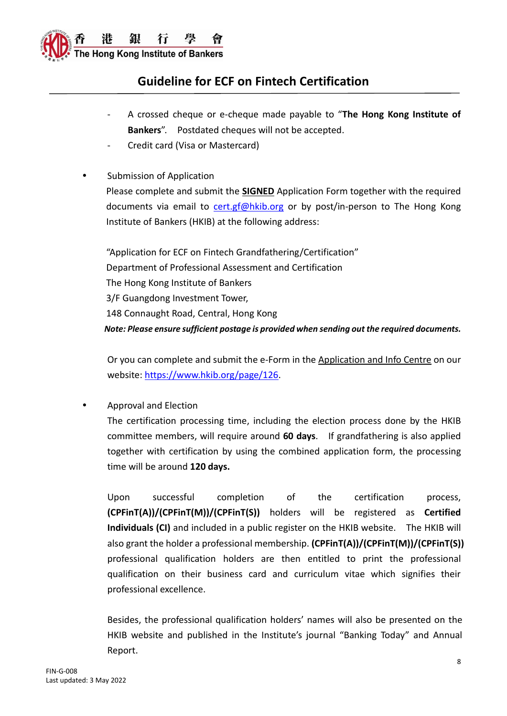

- A crossed cheque or e-cheque made payable to "**The Hong Kong Institute of Bankers**". Postdated cheques will not be accepted.
- Credit card (Visa or Mastercard)

### Submission of Application

Please complete and submit the **SIGNED** Application Form together with the required documents via email to [cert.gf@hkib.org](mailto:ecf.crm@hkib.org) or by post/in-person to The Hong Kong Institute of Bankers (HKIB) at the following address:

"Application for ECF on Fintech Grandfathering/Certification" Department of Professional Assessment and Certification The Hong Kong Institute of Bankers 3/F Guangdong Investment Tower, 148 Connaught Road, Central, Hong Kong *Note: Please ensure sufficient postage is provided when sending out the required documents.*

Or you can complete and submit the e-Form in the Application and Info Centre on our website: [https://www.hkib.org/page/126.](https://www.hkib.org/page/126)

Approval and Election

The certification processing time, including the election process done by the HKIB committee members, will require around **60 days**. If grandfathering is also applied together with certification by using the combined application form, the processing time will be around **120 days.**

Upon successful completion of the certification process, **(CPFinT(A))/(CPFinT(M))/(CPFinT(S))** holders will be registered as **Certified Individuals (CI)** and included in a public register on the HKIB website. The HKIB will also grant the holder a professional membership. **(CPFinT(A))/(CPFinT(M))/(CPFinT(S))** professional qualification holders are then entitled to print the professional qualification on their business card and curriculum vitae which signifies their professional excellence.

Besides, the professional qualification holders' names will also be presented on the HKIB website and published in the Institute's journal "Banking Today" and Annual Report.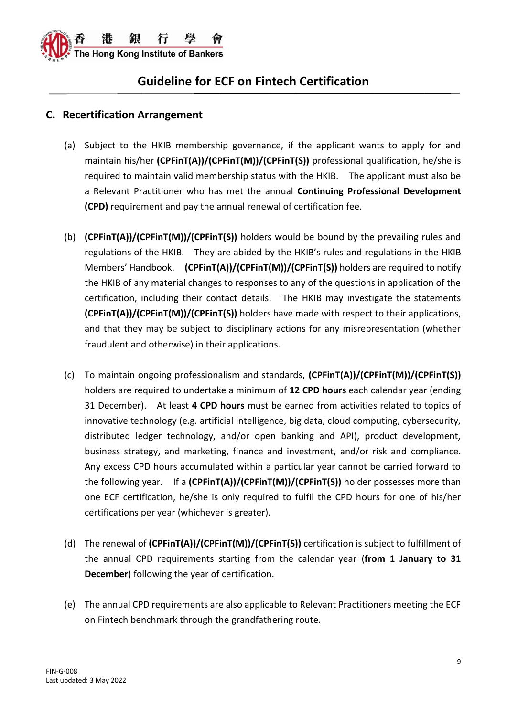

### **C. Recertification Arrangement**

- (a) Subject to the HKIB membership governance, if the applicant wants to apply for and maintain his/her **(CPFinT(A))/(CPFinT(M))/(CPFinT(S))** professional qualification, he/she is required to maintain valid membership status with the HKIB. The applicant must also be a Relevant Practitioner who has met the annual **Continuing Professional Development (CPD)** requirement and pay the annual renewal of certification fee.
- (b) **(CPFinT(A))/(CPFinT(M))/(CPFinT(S))** holders would be bound by the prevailing rules and regulations of the HKIB. They are abided by the HKIB's rules and regulations in the HKIB Members' Handbook. **(CPFinT(A))/(CPFinT(M))/(CPFinT(S))** holders are required to notify the HKIB of any material changes to responses to any of the questions in application of the certification, including their contact details. The HKIB may investigate the statements **(CPFinT(A))/(CPFinT(M))/(CPFinT(S))** holders have made with respect to their applications, and that they may be subject to disciplinary actions for any misrepresentation (whether fraudulent and otherwise) in their applications.
- (c) To maintain ongoing professionalism and standards, **(CPFinT(A))/(CPFinT(M))/(CPFinT(S))** holders are required to undertake a minimum of **12 CPD hours** each calendar year (ending 31 December). At least **4 CPD hours** must be earned from activities related to topics of innovative technology (e.g. artificial intelligence, big data, cloud computing, cybersecurity, distributed ledger technology, and/or open banking and API), product development, business strategy, and marketing, finance and investment, and/or risk and compliance. Any excess CPD hours accumulated within a particular year cannot be carried forward to the following year. If a **(CPFinT(A))/(CPFinT(M))/(CPFinT(S))** holder possesses more than one ECF certification, he/she is only required to fulfil the CPD hours for one of his/her certifications per year (whichever is greater).
- (d) The renewal of **(CPFinT(A))/(CPFinT(M))/(CPFinT(S))** certification is subject to fulfillment of the annual CPD requirements starting from the calendar year (**from 1 January to 31 December**) following the year of certification.
- (e) The annual CPD requirements are also applicable to Relevant Practitioners meeting the ECF on Fintech benchmark through the grandfathering route.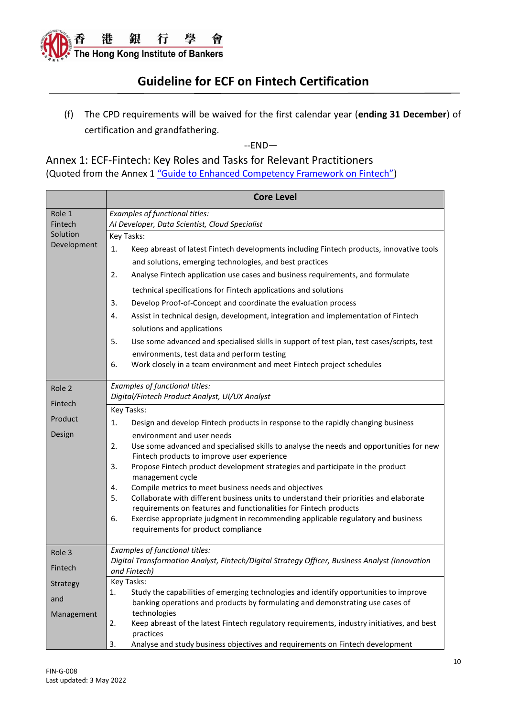

(f) The CPD requirements will be waived for the first calendar year (**ending 31 December**) of certification and grandfathering.

--END—

Annex 1: ECF-Fintech: Key Roles and Tasks for Relevant Practitioners (Quoted from the Annex 1 ["Guide to Enhanced Competency Framework on Fintech"\)](https://www.hkma.gov.hk/media/eng/doc/key-information/guidelines-and-circular/2021/20211203e1.pdf)

|                                                    | <b>Core Level</b>                                                                                                                                                                                                                                                                                                                                                                                                                                                                                                                                                                                                                                                                                                                                                                                                                                      |
|----------------------------------------------------|--------------------------------------------------------------------------------------------------------------------------------------------------------------------------------------------------------------------------------------------------------------------------------------------------------------------------------------------------------------------------------------------------------------------------------------------------------------------------------------------------------------------------------------------------------------------------------------------------------------------------------------------------------------------------------------------------------------------------------------------------------------------------------------------------------------------------------------------------------|
| Role 1<br>Fintech<br>Solution<br>Development       | Examples of functional titles:<br>Al Developer, Data Scientist, Cloud Specialist                                                                                                                                                                                                                                                                                                                                                                                                                                                                                                                                                                                                                                                                                                                                                                       |
|                                                    | Key Tasks:<br>1.<br>Keep abreast of latest Fintech developments including Fintech products, innovative tools<br>and solutions, emerging technologies, and best practices<br>Analyse Fintech application use cases and business requirements, and formulate<br>2.<br>technical specifications for Fintech applications and solutions<br>Develop Proof-of-Concept and coordinate the evaluation process<br>3.<br>Assist in technical design, development, integration and implementation of Fintech<br>4.<br>solutions and applications<br>Use some advanced and specialised skills in support of test plan, test cases/scripts, test<br>5.<br>environments, test data and perform testing<br>Work closely in a team environment and meet Fintech project schedules<br>6.                                                                                |
| Role 2<br>Fintech<br>Product<br>Design             | Examples of functional titles:<br>Digital/Fintech Product Analyst, UI/UX Analyst<br>Key Tasks:<br>Design and develop Fintech products in response to the rapidly changing business<br>1.<br>environment and user needs<br>Use some advanced and specialised skills to analyse the needs and opportunities for new<br>2.<br>Fintech products to improve user experience<br>Propose Fintech product development strategies and participate in the product<br>3.<br>management cycle<br>Compile metrics to meet business needs and objectives<br>4.<br>Collaborate with different business units to understand their priorities and elaborate<br>5.<br>requirements on features and functionalities for Fintech products<br>Exercise appropriate judgment in recommending applicable regulatory and business<br>6.<br>requirements for product compliance |
| Role 3<br>Fintech<br>Strategy<br>and<br>Management | Examples of functional titles:<br>Digital Transformation Analyst, Fintech/Digital Strategy Officer, Business Analyst (Innovation<br>and Fintech)<br>Key Tasks:<br>Study the capabilities of emerging technologies and identify opportunities to improve<br>1.<br>banking operations and products by formulating and demonstrating use cases of<br>technologies<br>Keep abreast of the latest Fintech regulatory requirements, industry initiatives, and best<br>2.<br>practices                                                                                                                                                                                                                                                                                                                                                                        |
|                                                    | Analyse and study business objectives and requirements on Fintech development<br>3.                                                                                                                                                                                                                                                                                                                                                                                                                                                                                                                                                                                                                                                                                                                                                                    |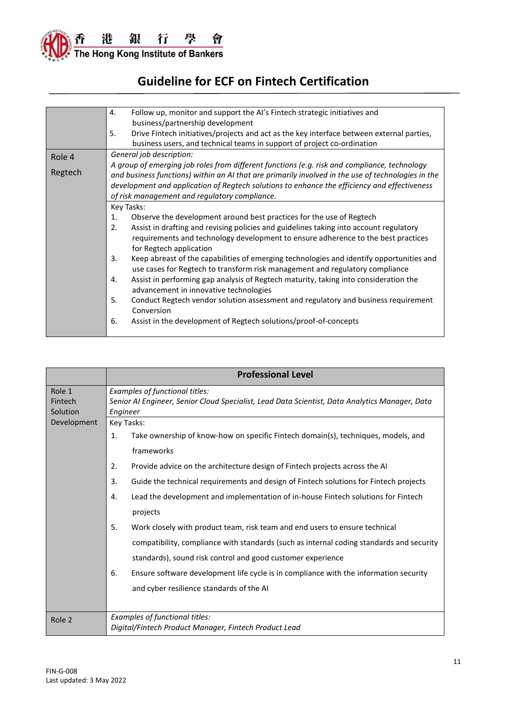

|         | Follow up, monitor and support the AI's Fintech strategic initiatives and<br>4.                    |  |  |
|---------|----------------------------------------------------------------------------------------------------|--|--|
|         | business/partnership development                                                                   |  |  |
|         | Drive Fintech initiatives/projects and act as the key interface between external parties,<br>5.    |  |  |
|         | business users, and technical teams in support of project co-ordination                            |  |  |
| Role 4  | General job description:                                                                           |  |  |
|         | A group of emerging job roles from different functions (e.g. risk and compliance, technology       |  |  |
| Regtech | and business functions) within an AI that are primarily involved in the use of technologies in the |  |  |
|         | development and application of Regtech solutions to enhance the efficiency and effectiveness       |  |  |
|         | of risk management and regulatory compliance.                                                      |  |  |
|         | Key Tasks:                                                                                         |  |  |
|         | Observe the development around best practices for the use of Regtech<br>1.                         |  |  |
|         | Assist in drafting and revising policies and guidelines taking into account regulatory<br>2.       |  |  |
|         | requirements and technology development to ensure adherence to the best practices                  |  |  |
|         | for Regtech application                                                                            |  |  |
|         | Keep abreast of the capabilities of emerging technologies and identify opportunities and<br>3.     |  |  |
|         | use cases for Regtech to transform risk management and regulatory compliance                       |  |  |
|         | Assist in performing gap analysis of Regtech maturity, taking into consideration the<br>4.         |  |  |
|         | advancement in innovative technologies                                                             |  |  |
|         | 5.<br>Conduct Regtech vendor solution assessment and regulatory and business requirement           |  |  |
|         | Conversion                                                                                         |  |  |
|         | Assist in the development of Regtech solutions/proof-of-concepts<br>6.                             |  |  |
|         |                                                                                                    |  |  |

|                               | <b>Professional Level</b>                                                                                                                    |  |  |
|-------------------------------|----------------------------------------------------------------------------------------------------------------------------------------------|--|--|
| Role 1<br>Fintech<br>Solution | Examples of functional titles:<br>Senior AI Engineer, Senior Cloud Specialist, Lead Data Scientist, Data Analytics Manager, Data<br>Engineer |  |  |
| Development                   | Key Tasks:                                                                                                                                   |  |  |
|                               | Take ownership of know-how on specific Fintech domain(s), techniques, models, and<br>1.                                                      |  |  |
|                               | frameworks                                                                                                                                   |  |  |
|                               | 2.<br>Provide advice on the architecture design of Fintech projects across the AI                                                            |  |  |
|                               | 3.<br>Guide the technical requirements and design of Fintech solutions for Fintech projects                                                  |  |  |
|                               | Lead the development and implementation of in-house Fintech solutions for Fintech<br>4.                                                      |  |  |
|                               | projects                                                                                                                                     |  |  |
|                               | 5.<br>Work closely with product team, risk team and end users to ensure technical                                                            |  |  |
|                               | compatibility, compliance with standards (such as internal coding standards and security                                                     |  |  |
|                               | standards), sound risk control and good customer experience                                                                                  |  |  |
|                               | 6.<br>Ensure software development life cycle is in compliance with the information security                                                  |  |  |
|                               | and cyber resilience standards of the AI                                                                                                     |  |  |
|                               |                                                                                                                                              |  |  |
| Role 2                        | Examples of functional titles:                                                                                                               |  |  |
|                               | Digital/Fintech Product Manager, Fintech Product Lead                                                                                        |  |  |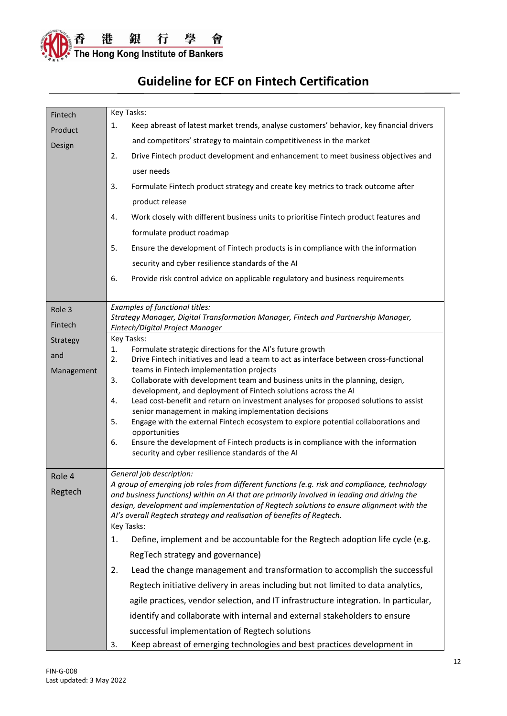

| Fintech    | Key Tasks:                                                                                                                                                                              |  |  |
|------------|-----------------------------------------------------------------------------------------------------------------------------------------------------------------------------------------|--|--|
| Product    | Keep abreast of latest market trends, analyse customers' behavior, key financial drivers<br>1.                                                                                          |  |  |
| Design     | and competitors' strategy to maintain competitiveness in the market                                                                                                                     |  |  |
|            | Drive Fintech product development and enhancement to meet business objectives and<br>2.                                                                                                 |  |  |
|            | user needs                                                                                                                                                                              |  |  |
|            | 3.<br>Formulate Fintech product strategy and create key metrics to track outcome after                                                                                                  |  |  |
|            | product release                                                                                                                                                                         |  |  |
|            | Work closely with different business units to prioritise Fintech product features and<br>4.                                                                                             |  |  |
|            | formulate product roadmap                                                                                                                                                               |  |  |
|            | 5.<br>Ensure the development of Fintech products is in compliance with the information                                                                                                  |  |  |
|            | security and cyber resilience standards of the AI                                                                                                                                       |  |  |
|            | 6.<br>Provide risk control advice on applicable regulatory and business requirements                                                                                                    |  |  |
|            |                                                                                                                                                                                         |  |  |
| Role 3     | Examples of functional titles:                                                                                                                                                          |  |  |
| Fintech    | Strategy Manager, Digital Transformation Manager, Fintech and Partnership Manager,                                                                                                      |  |  |
| Strategy   | Fintech/Digital Project Manager<br>Key Tasks:                                                                                                                                           |  |  |
| and        | Formulate strategic directions for the AI's future growth<br>1.                                                                                                                         |  |  |
| Management | Drive Fintech initiatives and lead a team to act as interface between cross-functional<br>2.<br>teams in Fintech implementation projects                                                |  |  |
|            | Collaborate with development team and business units in the planning, design,<br>3.                                                                                                     |  |  |
|            | development, and deployment of Fintech solutions across the AI<br>Lead cost-benefit and return on investment analyses for proposed solutions to assist<br>4.                            |  |  |
|            | senior management in making implementation decisions                                                                                                                                    |  |  |
|            | 5.<br>Engage with the external Fintech ecosystem to explore potential collaborations and<br>opportunities                                                                               |  |  |
|            | Ensure the development of Fintech products is in compliance with the information<br>6.                                                                                                  |  |  |
|            | security and cyber resilience standards of the AI                                                                                                                                       |  |  |
| Role 4     | General job description:                                                                                                                                                                |  |  |
| Regtech    | A group of emerging job roles from different functions (e.g. risk and compliance, technology                                                                                            |  |  |
|            | and business functions) within an AI that are primarily involved in leading and driving the<br>design, development and implementation of Regtech solutions to ensure alignment with the |  |  |
|            | Al's overall Regtech strategy and realisation of benefits of Regtech.                                                                                                                   |  |  |
|            | Key Tasks:                                                                                                                                                                              |  |  |
|            | Define, implement and be accountable for the Regtech adoption life cycle (e.g.<br>1.                                                                                                    |  |  |
|            | RegTech strategy and governance)                                                                                                                                                        |  |  |
|            | Lead the change management and transformation to accomplish the successful<br>2.                                                                                                        |  |  |
|            | Regtech initiative delivery in areas including but not limited to data analytics,                                                                                                       |  |  |
|            | agile practices, vendor selection, and IT infrastructure integration. In particular,                                                                                                    |  |  |
|            | identify and collaborate with internal and external stakeholders to ensure                                                                                                              |  |  |
|            | successful implementation of Regtech solutions                                                                                                                                          |  |  |
|            | Keep abreast of emerging technologies and best practices development in<br>3.                                                                                                           |  |  |